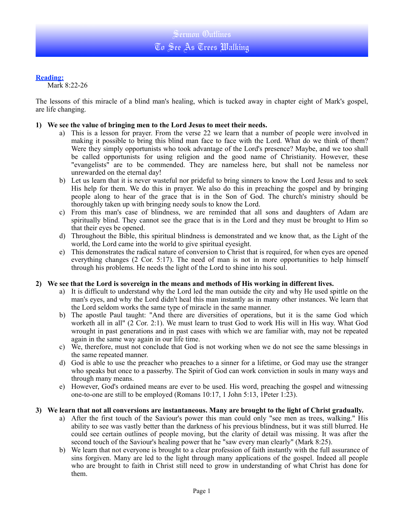#### **Reading:**

Mark 8:22-26

The lessons of this miracle of a blind man's healing, which is tucked away in chapter eight of Mark's gospel, are life changing.

### **1) We see the value of bringing men to the Lord Jesus to meet their needs.**

- a) This is a lesson for prayer. From the verse 22 we learn that a number of people were involved in making it possible to bring this blind man face to face with the Lord. What do we think of them? Were they simply opportunists who took advantage of the Lord's presence? Maybe, and we too shall be called opportunists for using religion and the good name of Christianity. However, these "evangelists" are to be commended. They are nameless here, but shall not be nameless nor unrewarded on the eternal day!
- b) Let us learn that it is never wasteful nor prideful to bring sinners to know the Lord Jesus and to seek His help for them. We do this in prayer. We also do this in preaching the gospel and by bringing people along to hear of the grace that is in the Son of God. The church's ministry should be thoroughly taken up with bringing needy souls to know the Lord.
- c) From this man's case of blindness, we are reminded that all sons and daughters of Adam are spiritually blind. They cannot see the grace that is in the Lord and they must be brought to Him so that their eyes be opened.
- d) Throughout the Bible, this spiritual blindness is demonstrated and we know that, as the Light of the world, the Lord came into the world to give spiritual eyesight.
- e) This demonstrates the radical nature of conversion to Christ that is required, for when eyes are opened everything changes (2 Cor. 5:17). The need of man is not in more opportunities to help himself through his problems. He needs the light of the Lord to shine into his soul.

#### **2) We see that the Lord is sovereign in the means and methods of His working in different lives.**

- a) It is difficult to understand why the Lord led the man outside the city and why He used spittle on the man's eyes, and why the Lord didn't heal this man instantly as in many other instances. We learn that the Lord seldom works the same type of miracle in the same manner.
- b) The apostle Paul taught: "And there are diversities of operations, but it is the same God which worketh all in all" (2 Cor. 2:1). We must learn to trust God to work His will in His way. What God wrought in past generations and in past cases with which we are familiar with, may not be repeated again in the same way again in our life time.
- c) We, therefore, must not conclude that God is not working when we do not see the same blessings in the same repeated manner.
- d) God is able to use the preacher who preaches to a sinner for a lifetime, or God may use the stranger who speaks but once to a passerby. The Spirit of God can work conviction in souls in many ways and through many means.
- e) However, God's ordained means are ever to be used. His word, preaching the gospel and witnessing one-to-one are still to be employed (Romans 10:17, 1 John 5:13, 1Peter 1:23).

#### **3) We learn that not all conversions are instantaneous. Many are brought to the light of Christ gradually.**

- a) After the first touch of the Saviour's power this man could only "see men as trees, walking." His ability to see was vastly better than the darkness of his previous blindness, but it was still blurred. He could see certain outlines of people moving, but the clarity of detail was missing. It was after the second touch of the Saviour's healing power that he "saw every man clearly" (Mark 8:25).
- b) We learn that not everyone is brought to a clear profession of faith instantly with the full assurance of sins forgiven. Many are led to the light through many applications of the gospel. Indeed all people who are brought to faith in Christ still need to grow in understanding of what Christ has done for them.